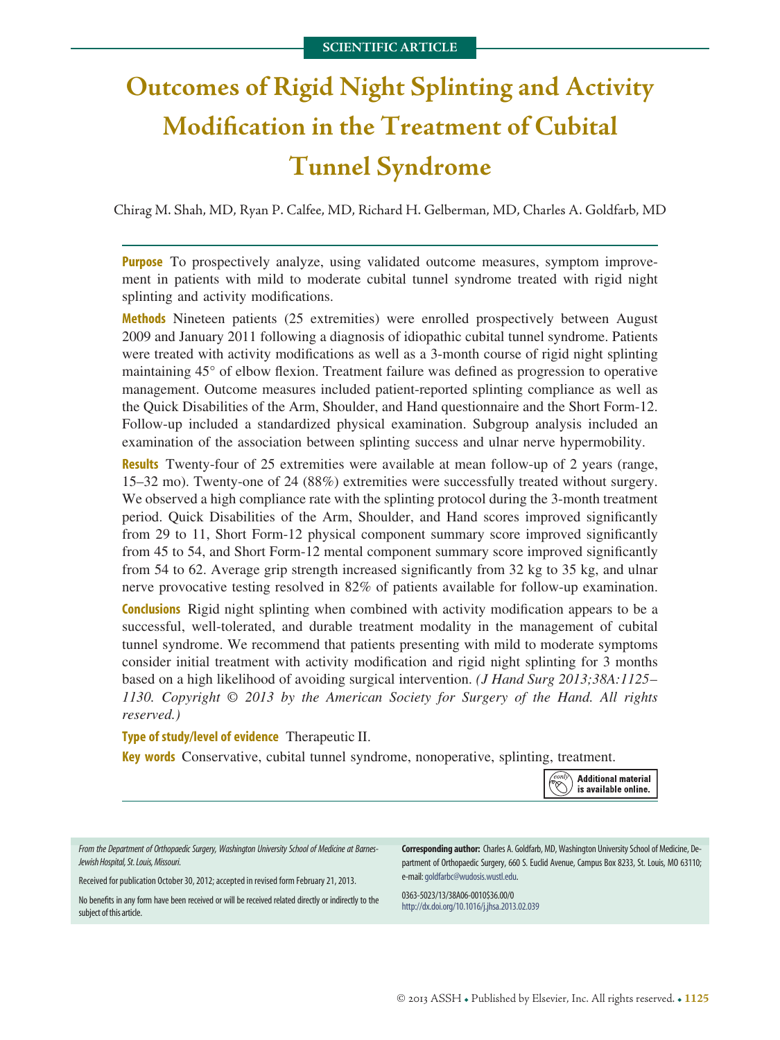# **Outcomes of Rigid Night Splinting and Activity Modification in the Treatment of Cubital Tunnel Syndrome**

Chirag M. Shah, MD, Ryan P. Calfee, MD, Richard H. Gelberman, MD, Charles A. Goldfarb, MD

**Purpose** To prospectively analyze, using validated outcome measures, symptom improvement in patients with mild to moderate cubital tunnel syndrome treated with rigid night splinting and activity modifications.

**Methods** Nineteen patients (25 extremities) were enrolled prospectively between August 2009 and January 2011 following a diagnosis of idiopathic cubital tunnel syndrome. Patients were treated with activity modifications as well as a 3-month course of rigid night splinting maintaining 45° of elbow flexion. Treatment failure was defined as progression to operative management. Outcome measures included patient-reported splinting compliance as well as the Quick Disabilities of the Arm, Shoulder, and Hand questionnaire and the Short Form-12. Follow-up included a standardized physical examination. Subgroup analysis included an examination of the association between splinting success and ulnar nerve hypermobility.

**Results** Twenty-four of 25 extremities were available at mean follow-up of 2 years (range, 15–32 mo). Twenty-one of 24 (88%) extremities were successfully treated without surgery. We observed a high compliance rate with the splinting protocol during the 3-month treatment period. Quick Disabilities of the Arm, Shoulder, and Hand scores improved significantly from 29 to 11, Short Form-12 physical component summary score improved significantly from 45 to 54, and Short Form-12 mental component summary score improved significantly from 54 to 62. Average grip strength increased significantly from 32 kg to 35 kg, and ulnar nerve provocative testing resolved in 82% of patients available for follow-up examination.

**Conclusions** Rigid night splinting when combined with activity modification appears to be a successful, well-tolerated, and durable treatment modality in the management of cubital tunnel syndrome. We recommend that patients presenting with mild to moderate symptoms consider initial treatment with activity modification and rigid night splinting for 3 months based on a high likelihood of avoiding surgical intervention. *(J Hand Surg 2013;38A:1125*– *1130. Copyright © 2013 by the American Society for Surgery of the Hand. All rights reserved.)*

# **Type of study/level of evidence** Therapeutic II.

**Key words** Conservative, cubital tunnel syndrome, nonoperative, splinting, treatment.

**Additional material** is available online.

*From the Department of Orthopaedic Surgery, Washington University School of Medicine at Barnes-JewishHospital, St. Louis,Missouri.*

Received for publication October 30, 2012; accepted in revised form February 21, 2013.

No benefits in any form have been received or will be received related directly or indirectly to the subject of this article.

**Corresponding author:** Charles A. Goldfarb, MD, Washington University School of Medicine, Department of Orthopaedic Surgery, 660 S. Euclid Avenue, Campus Box 8233, St. Louis, MO 63110; e-mail[:goldfarbc@wudosis.wustl.edu.](mailto:goldfarbc@wudosis.wustl.edu)

0363-5023/13/38A06-0010\$36.00/0 <http://dx.doi.org/10.1016/j.jhsa.2013.02.039>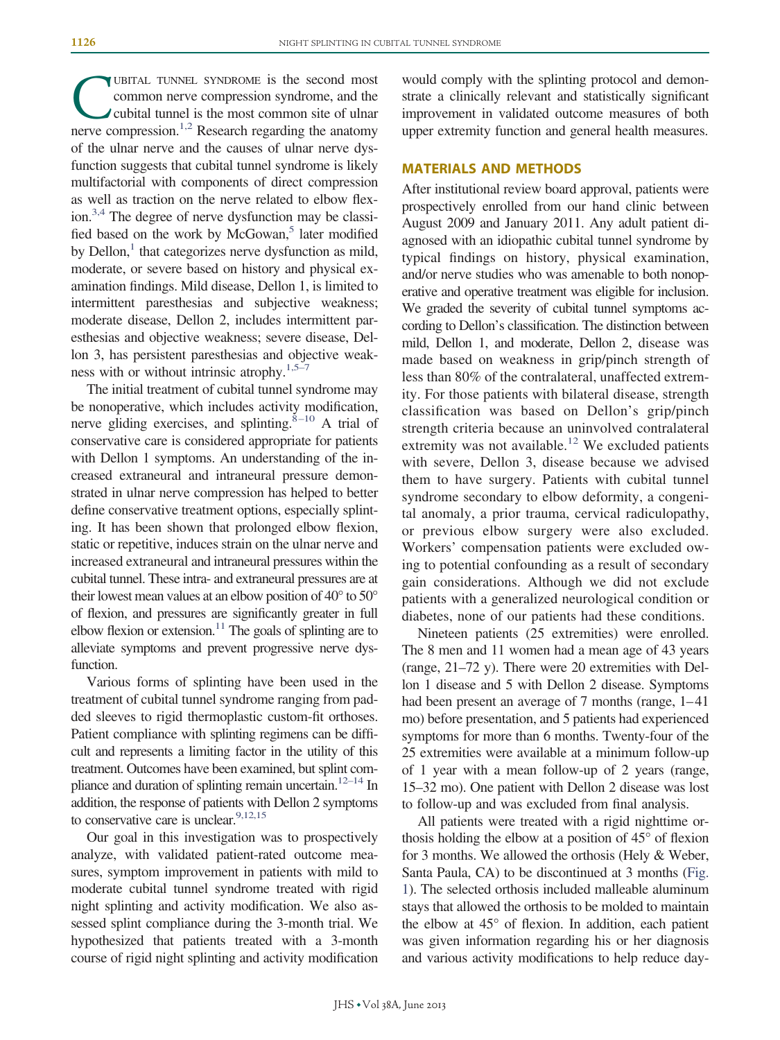**CUBITAL TUNNEL SYNDROME is the second most common nerve compression syndrome, and the cubital tunnel is the most common site of ulnar nerve compression.**<sup>1,2</sup> Research regarding the anatomy common nerve compression syndrome, and the cubital tunnel is the most common site of ulnar of the ulnar nerve and the causes of ulnar nerve dysfunction suggests that cubital tunnel syndrome is likely multifactorial with components of direct compression as well as traction on the nerve related to elbow flexion[.3,4](#page-5-1) The degree of nerve dysfunction may be classified based on the work by McGowan, $5$  later modified by Dellon, $\frac{1}{1}$  that categorizes nerve dysfunction as mild, moderate, or severe based on history and physical examination findings. Mild disease, Dellon 1, is limited to intermittent paresthesias and subjective weakness; moderate disease, Dellon 2, includes intermittent paresthesias and objective weakness; severe disease, Dellon 3, has persistent paresthesias and objective weakness with or without intrinsic atrophy. $1,5-7$ 

The initial treatment of cubital tunnel syndrome may be nonoperative, which includes activity modification, nerve gliding exercises, and splinting. $8-10$  A trial of conservative care is considered appropriate for patients with Dellon 1 symptoms. An understanding of the increased extraneural and intraneural pressure demonstrated in ulnar nerve compression has helped to better define conservative treatment options, especially splinting. It has been shown that prolonged elbow flexion, static or repetitive, induces strain on the ulnar nerve and increased extraneural and intraneural pressures within the cubital tunnel. These intra- and extraneural pressures are at their lowest mean values at an elbow position of 40° to 50° of flexion, and pressures are significantly greater in full elbow flexion or extension. $11$  The goals of splinting are to alleviate symptoms and prevent progressive nerve dysfunction.

Various forms of splinting have been used in the treatment of cubital tunnel syndrome ranging from padded sleeves to rigid thermoplastic custom-fit orthoses. Patient compliance with splinting regimens can be difficult and represents a limiting factor in the utility of this treatment. Outcomes have been examined, but splint compliance and duration of splinting remain uncertain.<sup>12–14</sup> In addition, the response of patients with Dellon 2 symptoms to conservative care is unclear.  $9,12,15$ 

Our goal in this investigation was to prospectively analyze, with validated patient-rated outcome measures, symptom improvement in patients with mild to moderate cubital tunnel syndrome treated with rigid night splinting and activity modification. We also assessed splint compliance during the 3-month trial. We hypothesized that patients treated with a 3-month course of rigid night splinting and activity modification

would comply with the splinting protocol and demonstrate a clinically relevant and statistically significant improvement in validated outcome measures of both upper extremity function and general health measures.

## **MATERIALS AND METHODS**

After institutional review board approval, patients were prospectively enrolled from our hand clinic between August 2009 and January 2011. Any adult patient diagnosed with an idiopathic cubital tunnel syndrome by typical findings on history, physical examination, and/or nerve studies who was amenable to both nonoperative and operative treatment was eligible for inclusion. We graded the severity of cubital tunnel symptoms according to Dellon's classification. The distinction between mild, Dellon 1, and moderate, Dellon 2, disease was made based on weakness in grip/pinch strength of less than 80% of the contralateral, unaffected extremity. For those patients with bilateral disease, strength classification was based on Dellon's grip/pinch strength criteria because an uninvolved contralateral extremity was not available.<sup>[12](#page-5-5)</sup> We excluded patients with severe, Dellon 3, disease because we advised them to have surgery. Patients with cubital tunnel syndrome secondary to elbow deformity, a congenital anomaly, a prior trauma, cervical radiculopathy, or previous elbow surgery were also excluded. Workers' compensation patients were excluded owing to potential confounding as a result of secondary gain considerations. Although we did not exclude patients with a generalized neurological condition or diabetes, none of our patients had these conditions.

Nineteen patients (25 extremities) were enrolled. The 8 men and 11 women had a mean age of 43 years (range, 21–72 y). There were 20 extremities with Dellon 1 disease and 5 with Dellon 2 disease. Symptoms had been present an average of 7 months (range, 1–41) mo) before presentation, and 5 patients had experienced symptoms for more than 6 months. Twenty-four of the 25 extremities were available at a minimum follow-up of 1 year with a mean follow-up of 2 years (range, 15–32 mo). One patient with Dellon 2 disease was lost to follow-up and was excluded from final analysis.

All patients were treated with a rigid nighttime orthosis holding the elbow at a position of 45° of flexion for 3 months. We allowed the orthosis (Hely & Weber, Santa Paula, CA) to be discontinued at 3 months [\(Fig.](#page-2-0) [1\)](#page-2-0). The selected orthosis included malleable aluminum stays that allowed the orthosis to be molded to maintain the elbow at 45° of flexion. In addition, each patient was given information regarding his or her diagnosis and various activity modifications to help reduce day-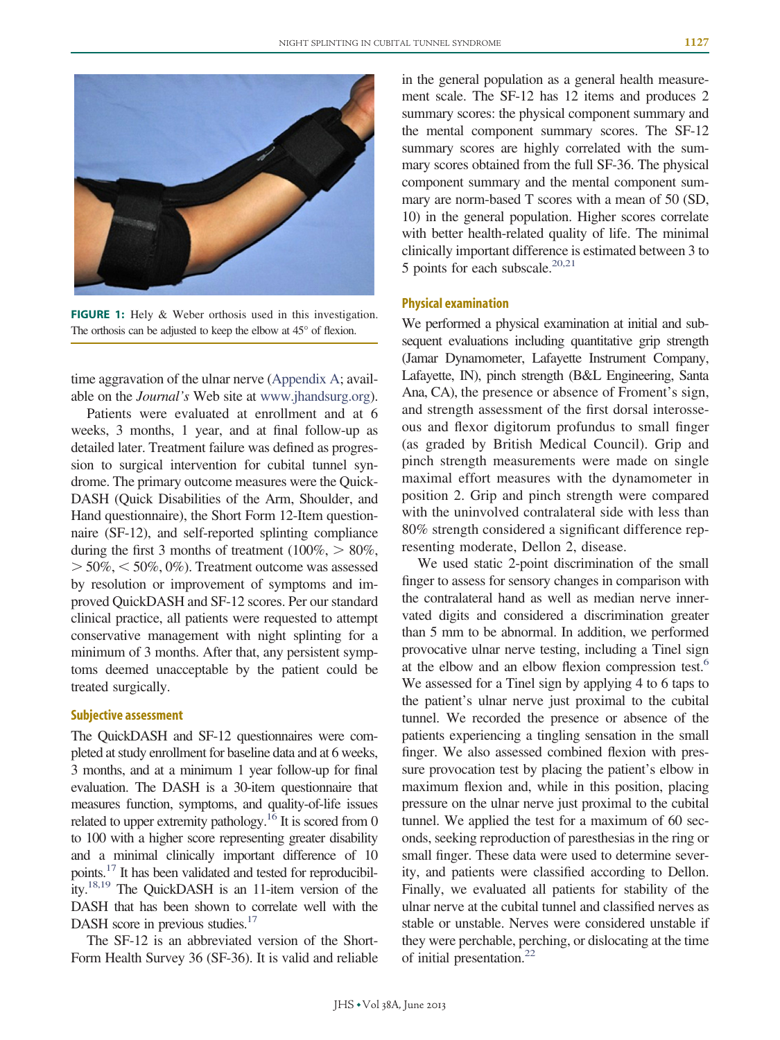

**FIGURE 1:** Hely & Weber orthosis used in this investigation. The orthosis can be adjusted to keep the elbow at 45° of flexion.

<span id="page-2-0"></span>time aggravation of the ulnar nerve [\(Appendix A;](#page-6-0) available on the *Journal's* Web site at [www.jhandsurg.org\)](http://www.jhandsurg.org).

Patients were evaluated at enrollment and at 6 weeks, 3 months, 1 year, and at final follow-up as detailed later. Treatment failure was defined as progression to surgical intervention for cubital tunnel syndrome. The primary outcome measures were the Quick-DASH (Quick Disabilities of the Arm, Shoulder, and Hand questionnaire), the Short Form 12-Item questionnaire (SF-12), and self-reported splinting compliance during the first 3 months of treatment  $(100\% \geq 80\%$ ,  $>$  50%,  $<$  50%, 0%). Treatment outcome was assessed by resolution or improvement of symptoms and improved QuickDASH and SF-12 scores. Per our standard clinical practice, all patients were requested to attempt conservative management with night splinting for a minimum of 3 months. After that, any persistent symptoms deemed unacceptable by the patient could be treated surgically.

### **Subjective assessment**

The QuickDASH and SF-12 questionnaires were completed at study enrollment for baseline data and at 6 weeks, 3 months, and at a minimum 1 year follow-up for final evaluation. The DASH is a 30-item questionnaire that measures function, symptoms, and quality-of-life issues related to upper extremity pathology.<sup>16</sup> It is scored from 0 to 100 with a higher score representing greater disability and a minimal clinically important difference of 10 points[.17](#page-5-8) It has been validated and tested for reproducibility[.18,19](#page-5-9) The QuickDASH is an 11-item version of the DASH that has been shown to correlate well with the DASH score in previous studies.<sup>17</sup>

The SF-12 is an abbreviated version of the Short-Form Health Survey 36 (SF-36). It is valid and reliable

in the general population as a general health measurement scale. The SF-12 has 12 items and produces 2 summary scores: the physical component summary and the mental component summary scores. The SF-12 summary scores are highly correlated with the summary scores obtained from the full SF-36. The physical component summary and the mental component summary are norm-based T scores with a mean of 50 (SD, 10) in the general population. Higher scores correlate with better health-related quality of life. The minimal clinically important difference is estimated between 3 to 5 points for each subscale. $20,21$ 

#### **Physical examination**

We performed a physical examination at initial and subsequent evaluations including quantitative grip strength (Jamar Dynamometer, Lafayette Instrument Company, Lafayette, IN), pinch strength (B&L Engineering, Santa Ana, CA), the presence or absence of Froment's sign, and strength assessment of the first dorsal interosseous and flexor digitorum profundus to small finger (as graded by British Medical Council). Grip and pinch strength measurements were made on single maximal effort measures with the dynamometer in position 2. Grip and pinch strength were compared with the uninvolved contralateral side with less than 80% strength considered a significant difference representing moderate, Dellon 2, disease.

We used static 2-point discrimination of the small finger to assess for sensory changes in comparison with the contralateral hand as well as median nerve innervated digits and considered a discrimination greater than 5 mm to be abnormal. In addition, we performed provocative ulnar nerve testing, including a Tinel sign at the elbow and an elbow flexion compression test.<sup>6</sup> We assessed for a Tinel sign by applying 4 to 6 taps to the patient's ulnar nerve just proximal to the cubital tunnel. We recorded the presence or absence of the patients experiencing a tingling sensation in the small finger. We also assessed combined flexion with pressure provocation test by placing the patient's elbow in maximum flexion and, while in this position, placing pressure on the ulnar nerve just proximal to the cubital tunnel. We applied the test for a maximum of 60 seconds, seeking reproduction of paresthesias in the ring or small finger. These data were used to determine severity, and patients were classified according to Dellon. Finally, we evaluated all patients for stability of the ulnar nerve at the cubital tunnel and classified nerves as stable or unstable. Nerves were considered unstable if they were perchable, perching, or dislocating at the time of initial presentation.<sup>22</sup>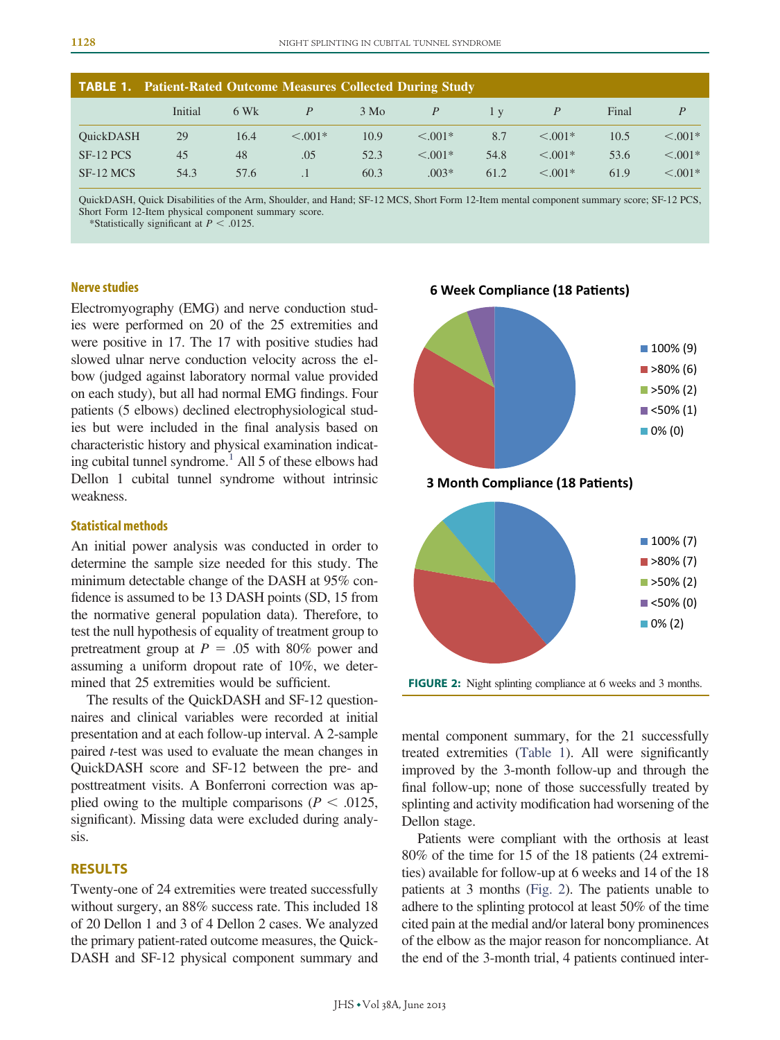<span id="page-3-0"></span>

|                  | <b>TABLE 1.</b> Patient-Rated Outcome Measures Collected During Study |        |              |               |              |              |              |       |              |
|------------------|-----------------------------------------------------------------------|--------|--------------|---------------|--------------|--------------|--------------|-------|--------------|
|                  | Initial                                                               | $6$ Wk |              | $3\text{ Mo}$ | P            | $\mathbf{V}$ |              | Final |              |
| <b>OuickDASH</b> | 29                                                                    | 16.4   | $\leq 0.01*$ | 10.9          | $\leq 0.01*$ | 8.7          | $\leq 0.01*$ | 10.5  | $\leq 0.01*$ |
| SF-12 PCS        | 45                                                                    | 48     | .05          | 52.3          | $< 0.01*$    | 54.8         | $< 0.01*$    | 53.6  | $< 0.01*$    |
| SF-12 MCS        | 54.3                                                                  | 57.6   |              | 60.3          | $.003*$      | 61.2         | $\leq 0.01*$ | 61.9  | $< 0.001*$   |

QuickDASH, Quick Disabilities of the Arm, Shoulder, and Hand; SF-12 MCS, Short Form 12-Item mental component summary score; SF-12 PCS, Short Form 12-Item physical component summary score.

\*Statistically significant at  $P < 0.0125$ .

#### **Nerve studies**

Electromyography (EMG) and nerve conduction studies were performed on 20 of the 25 extremities and were positive in 17. The 17 with positive studies had slowed ulnar nerve conduction velocity across the elbow (judged against laboratory normal value provided on each study), but all had normal EMG findings. Four patients (5 elbows) declined electrophysiological studies but were included in the final analysis based on characteristic history and physical examination indicating cubital tunnel syndrome.<sup>1</sup> All 5 of these elbows had Dellon 1 cubital tunnel syndrome without intrinsic weakness.

# **Statistical methods**

An initial power analysis was conducted in order to determine the sample size needed for this study. The minimum detectable change of the DASH at 95% confidence is assumed to be 13 DASH points (SD, 15 from the normative general population data). Therefore, to test the null hypothesis of equality of treatment group to pretreatment group at  $P = .05$  with 80% power and assuming a uniform dropout rate of 10%, we determined that 25 extremities would be sufficient.

The results of the QuickDASH and SF-12 questionnaires and clinical variables were recorded at initial presentation and at each follow-up interval. A 2-sample paired *t*-test was used to evaluate the mean changes in QuickDASH score and SF-12 between the pre- and posttreatment visits. A Bonferroni correction was applied owing to the multiple comparisons ( $P < .0125$ , significant). Missing data were excluded during analysis.

## **RESULTS**

Twenty-one of 24 extremities were treated successfully without surgery, an  $88\%$  success rate. This included 18 of 20 Dellon 1 and 3 of 4 Dellon 2 cases. We analyzed the primary patient-rated outcome measures, the Quick-DASH and SF-12 physical component summary and



<span id="page-3-1"></span>mental component summary, for the 21 successfully treated extremities [\(Table 1\)](#page-3-0). All were significantly improved by the 3-month follow-up and through the final follow-up; none of those successfully treated by splinting and activity modification had worsening of the Dellon stage.

Patients were compliant with the orthosis at least 80% of the time for 15 of the 18 patients (24 extremities) available for follow-up at 6 weeks and 14 of the 18 patients at 3 months [\(Fig. 2\)](#page-3-1). The patients unable to adhere to the splinting protocol at least 50% of the time cited pain at the medial and/or lateral bony prominences of the elbow as the major reason for noncompliance. At the end of the 3-month trial, 4 patients continued inter-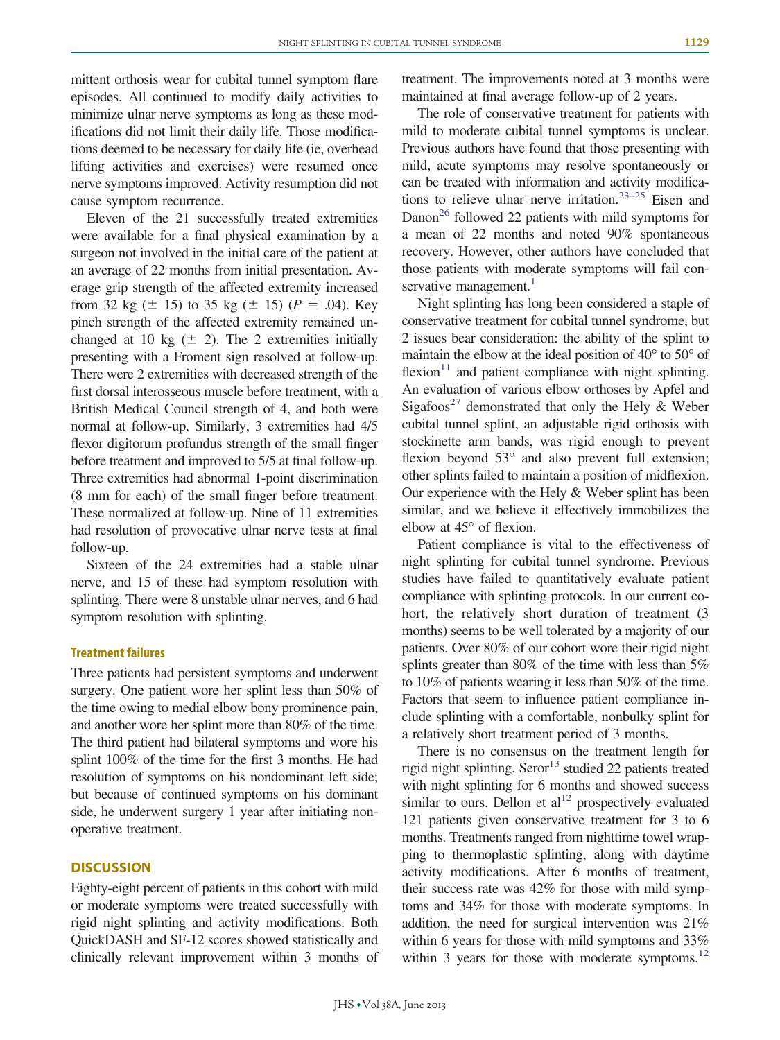mittent orthosis wear for cubital tunnel symptom flare episodes. All continued to modify daily activities to minimize ulnar nerve symptoms as long as these modifications did not limit their daily life. Those modifications deemed to be necessary for daily life (ie, overhead lifting activities and exercises) were resumed once nerve symptoms improved. Activity resumption did not cause symptom recurrence.

Eleven of the 21 successfully treated extremities were available for a final physical examination by a surgeon not involved in the initial care of the patient at an average of 22 months from initial presentation. Average grip strength of the affected extremity increased from 32 kg  $(\pm 15)$  to 35 kg  $(\pm 15)$   $(P = .04)$ . Key pinch strength of the affected extremity remained unchanged at 10 kg  $(\pm 2)$ . The 2 extremities initially presenting with a Froment sign resolved at follow-up. There were 2 extremities with decreased strength of the first dorsal interosseous muscle before treatment, with a British Medical Council strength of 4, and both were normal at follow-up. Similarly, 3 extremities had 4/5 flexor digitorum profundus strength of the small finger before treatment and improved to 5/5 at final follow-up. Three extremities had abnormal 1-point discrimination (8 mm for each) of the small finger before treatment. These normalized at follow-up. Nine of 11 extremities had resolution of provocative ulnar nerve tests at final follow-up.

Sixteen of the 24 extremities had a stable ulnar nerve, and 15 of these had symptom resolution with splinting. There were 8 unstable ulnar nerves, and 6 had symptom resolution with splinting.

### **Treatment failures**

Three patients had persistent symptoms and underwent surgery. One patient wore her splint less than 50% of the time owing to medial elbow bony prominence pain, and another wore her splint more than 80% of the time. The third patient had bilateral symptoms and wore his splint 100% of the time for the first 3 months. He had resolution of symptoms on his nondominant left side; but because of continued symptoms on his dominant side, he underwent surgery 1 year after initiating nonoperative treatment.

# **DISCUSSION**

Eighty-eight percent of patients in this cohort with mild or moderate symptoms were treated successfully with rigid night splinting and activity modifications. Both QuickDASH and SF-12 scores showed statistically and clinically relevant improvement within 3 months of treatment. The improvements noted at 3 months were maintained at final average follow-up of 2 years.

The role of conservative treatment for patients with mild to moderate cubital tunnel symptoms is unclear. Previous authors have found that those presenting with mild, acute symptoms may resolve spontaneously or can be treated with information and activity modifications to relieve ulnar nerve irritation.<sup>23–25</sup> Eisen and Danon<sup>26</sup> followed 22 patients with mild symptoms for a mean of 22 months and noted 90% spontaneous recovery. However, other authors have concluded that those patients with moderate symptoms will fail conservative management. $<sup>1</sup>$ </sup>

Night splinting has long been considered a staple of conservative treatment for cubital tunnel syndrome, but 2 issues bear consideration: the ability of the splint to maintain the elbow at the ideal position of 40° to 50° of flexion $11$  and patient compliance with night splinting. An evaluation of various elbow orthoses by Apfel and Sigafoos<sup>27</sup> demonstrated that only the Hely  $\&$  Weber cubital tunnel splint, an adjustable rigid orthosis with stockinette arm bands, was rigid enough to prevent flexion beyond 53° and also prevent full extension; other splints failed to maintain a position of midflexion. Our experience with the Hely & Weber splint has been similar, and we believe it effectively immobilizes the elbow at 45° of flexion.

Patient compliance is vital to the effectiveness of night splinting for cubital tunnel syndrome. Previous studies have failed to quantitatively evaluate patient compliance with splinting protocols. In our current cohort, the relatively short duration of treatment (3 months) seems to be well tolerated by a majority of our patients. Over 80% of our cohort wore their rigid night splints greater than 80% of the time with less than 5% to 10% of patients wearing it less than 50% of the time. Factors that seem to influence patient compliance include splinting with a comfortable, nonbulky splint for a relatively short treatment period of 3 months.

There is no consensus on the treatment length for rigid night splinting. Seror $13$  studied 22 patients treated with night splinting for 6 months and showed success similar to ours. Dellon et  $al<sup>12</sup>$  prospectively evaluated 121 patients given conservative treatment for 3 to 6 months. Treatments ranged from nighttime towel wrapping to thermoplastic splinting, along with daytime activity modifications. After 6 months of treatment, their success rate was 42% for those with mild symptoms and 34% for those with moderate symptoms. In addition, the need for surgical intervention was 21% within 6 years for those with mild symptoms and 33% within 3 years for those with moderate symptoms. $^{12}$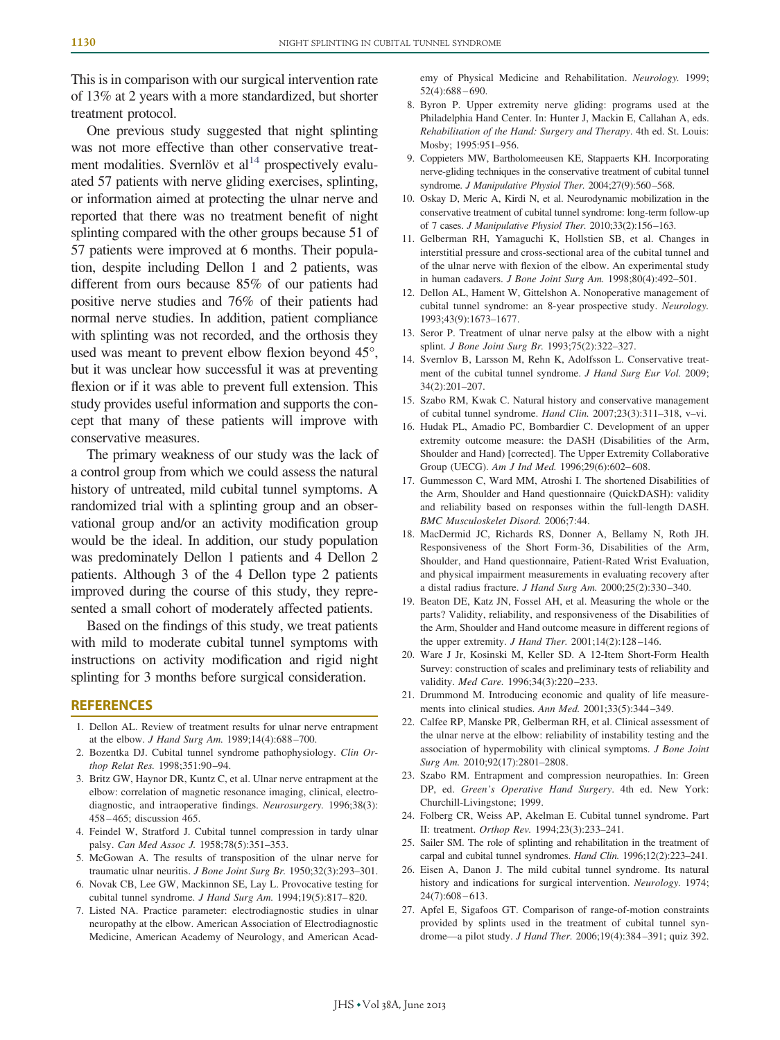This is in comparison with our surgical intervention rate of 13% at 2 years with a more standardized, but shorter treatment protocol.

One previous study suggested that night splinting was not more effective than other conservative treatment modalities. Svernlöv et  $al<sup>14</sup>$  prospectively evaluated 57 patients with nerve gliding exercises, splinting, or information aimed at protecting the ulnar nerve and reported that there was no treatment benefit of night splinting compared with the other groups because 51 of 57 patients were improved at 6 months. Their population, despite including Dellon 1 and 2 patients, was different from ours because 85% of our patients had positive nerve studies and 76% of their patients had normal nerve studies. In addition, patient compliance with splinting was not recorded, and the orthosis they used was meant to prevent elbow flexion beyond 45°, but it was unclear how successful it was at preventing flexion or if it was able to prevent full extension. This study provides useful information and supports the concept that many of these patients will improve with conservative measures.

The primary weakness of our study was the lack of a control group from which we could assess the natural history of untreated, mild cubital tunnel symptoms. A randomized trial with a splinting group and an observational group and/or an activity modification group would be the ideal. In addition, our study population was predominately Dellon 1 patients and 4 Dellon 2 patients. Although 3 of the 4 Dellon type 2 patients improved during the course of this study, they represented a small cohort of moderately affected patients.

Based on the findings of this study, we treat patients with mild to moderate cubital tunnel symptoms with instructions on activity modification and rigid night splinting for 3 months before surgical consideration.

#### <span id="page-5-0"></span>**REFERENCES**

- 1. Dellon AL. Review of treatment results for ulnar nerve entrapment at the elbow. *J Hand Surg Am.* 1989;14(4):688 –700.
- <span id="page-5-1"></span>2. Bozentka DJ. Cubital tunnel syndrome pathophysiology. *Clin Orthop Relat Res.* 1998;351:90 –94.
- 3. Britz GW, Haynor DR, Kuntz C, et al. Ulnar nerve entrapment at the elbow: correlation of magnetic resonance imaging, clinical, electrodiagnostic, and intraoperative findings. *Neurosurgery.* 1996;38(3): 458 – 465; discussion 465.
- <span id="page-5-2"></span>4. Feindel W, Stratford J. Cubital tunnel compression in tardy ulnar palsy. *Can Med Assoc J.* 1958;78(5):351–353.
- <span id="page-5-11"></span>5. McGowan A. The results of transposition of the ulnar nerve for traumatic ulnar neuritis. *J Bone Joint Surg Br.* 1950;32(3):293–301.
- 6. Novak CB, Lee GW, Mackinnon SE, Lay L. Provocative testing for cubital tunnel syndrome. *J Hand Surg Am.* 1994;19(5):817– 820.
- 7. Listed NA. Practice parameter: electrodiagnostic studies in ulnar neuropathy at the elbow. American Association of Electrodiagnostic Medicine, American Academy of Neurology, and American Acad-

emy of Physical Medicine and Rehabilitation. *Neurology.* 1999; 52(4):688 – 690.

- <span id="page-5-3"></span>8. Byron P. Upper extremity nerve gliding: programs used at the Philadelphia Hand Center. In: Hunter J, Mackin E, Callahan A, eds. *Rehabilitation of the Hand: Surgery and Therapy*. 4th ed. St. Louis: Mosby; 1995:951–956.
- <span id="page-5-6"></span>9. Coppieters MW, Bartholomeeusen KE, Stappaerts KH. Incorporating nerve-gliding techniques in the conservative treatment of cubital tunnel syndrome. *J Manipulative Physiol Ther.* 2004;27(9):560 –568.
- 10. Oskay D, Meric A, Kirdi N, et al. Neurodynamic mobilization in the conservative treatment of cubital tunnel syndrome: long-term follow-up of 7 cases. *J Manipulative Physiol Ther.* 2010;33(2):156 –163.
- <span id="page-5-4"></span>11. Gelberman RH, Yamaguchi K, Hollstien SB, et al. Changes in interstitial pressure and cross-sectional area of the cubital tunnel and of the ulnar nerve with flexion of the elbow. An experimental study in human cadavers. *J Bone Joint Surg Am.* 1998;80(4):492–501.
- <span id="page-5-5"></span>12. Dellon AL, Hament W, Gittelshon A. Nonoperative management of cubital tunnel syndrome: an 8-year prospective study. *Neurology.* 1993;43(9):1673–1677.
- <span id="page-5-17"></span><span id="page-5-16"></span>13. Seror P. Treatment of ulnar nerve palsy at the elbow with a night splint. *J Bone Joint Surg Br.* 1993;75(2):322–327.
- 14. Svernlov B, Larsson M, Rehn K, Adolfsson L. Conservative treatment of the cubital tunnel syndrome. *J Hand Surg Eur Vol.* 2009; 34(2):201–207.
- <span id="page-5-7"></span>15. Szabo RM, Kwak C. Natural history and conservative management of cubital tunnel syndrome. *Hand Clin.* 2007;23(3):311–318, v–vi.
- 16. Hudak PL, Amadio PC, Bombardier C. Development of an upper extremity outcome measure: the DASH (Disabilities of the Arm, Shoulder and Hand) [corrected]. The Upper Extremity Collaborative Group (UECG). *Am J Ind Med.* 1996;29(6):602– 608.
- <span id="page-5-8"></span>17. Gummesson C, Ward MM, Atroshi I. The shortened Disabilities of the Arm, Shoulder and Hand questionnaire (QuickDASH): validity and reliability based on responses within the full-length DASH. *BMC Musculoskelet Disord.* 2006;7:44.
- <span id="page-5-9"></span>18. MacDermid JC, Richards RS, Donner A, Bellamy N, Roth JH. Responsiveness of the Short Form-36, Disabilities of the Arm, Shoulder, and Hand questionnaire, Patient-Rated Wrist Evaluation, and physical impairment measurements in evaluating recovery after a distal radius fracture. *J Hand Surg Am.* 2000;25(2):330 –340.
- 19. Beaton DE, Katz JN, Fossel AH, et al. Measuring the whole or the parts? Validity, reliability, and responsiveness of the Disabilities of the Arm, Shoulder and Hand outcome measure in different regions of the upper extremity. *J Hand Ther.* 2001;14(2):128 –146.
- <span id="page-5-10"></span>20. Ware J Jr, Kosinski M, Keller SD. A 12-Item Short-Form Health Survey: construction of scales and preliminary tests of reliability and validity. *Med Care.* 1996;34(3):220 –233.
- <span id="page-5-12"></span>21. Drummond M. Introducing economic and quality of life measurements into clinical studies. *Ann Med.* 2001;33(5):344 –349.
- 22. Calfee RP, Manske PR, Gelberman RH, et al. Clinical assessment of the ulnar nerve at the elbow: reliability of instability testing and the association of hypermobility with clinical symptoms. *J Bone Joint Surg Am.* 2010;92(17):2801–2808.
- <span id="page-5-13"></span>23. Szabo RM. Entrapment and compression neuropathies. In: Green DP, ed. *Green's Operative Hand Surgery*. 4th ed. New York: Churchill-Livingstone; 1999.
- 24. Folberg CR, Weiss AP, Akelman E. Cubital tunnel syndrome. Part II: treatment. *Orthop Rev.* 1994;23(3):233–241.
- <span id="page-5-14"></span>25. Sailer SM. The role of splinting and rehabilitation in the treatment of carpal and cubital tunnel syndromes. *Hand Clin.* 1996;12(2):223–241.
- <span id="page-5-15"></span>26. Eisen A, Danon J. The mild cubital tunnel syndrome. Its natural history and indications for surgical intervention. *Neurology.* 1974; 24(7):608 – 613.
- 27. Apfel E, Sigafoos GT. Comparison of range-of-motion constraints provided by splints used in the treatment of cubital tunnel syndrome—a pilot study. *J Hand Ther.* 2006;19(4):384 –391; quiz 392.